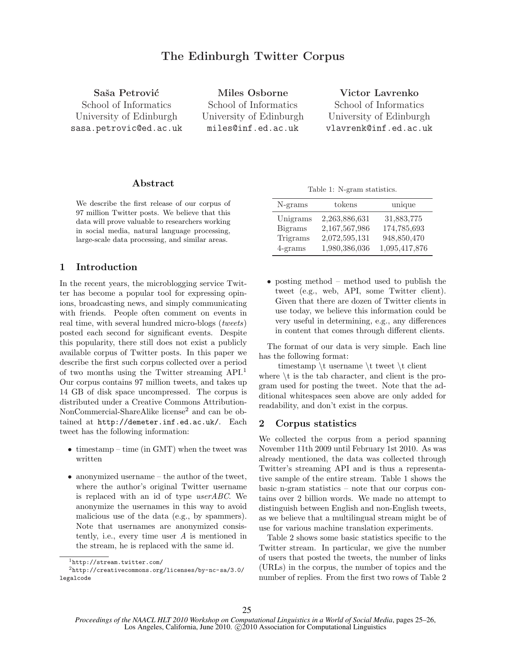# The Edinburgh Twitter Corpus

Saša Petrović

School of Informatics University of Edinburgh sasa.petrovic@ed.ac.uk

Miles Osborne School of Informatics University of Edinburgh miles@inf.ed.ac.uk

Victor Lavrenko

School of Informatics University of Edinburgh vlavrenk@inf.ed.ac.uk

## Abstract

We describe the first release of our corpus of 97 million Twitter posts. We believe that this data will prove valuable to researchers working in social media, natural language processing, large-scale data processing, and similar areas.

### 1 Introduction

In the recent years, the microblogging service Twitter has become a popular tool for expressing opinions, broadcasting news, and simply communicating with friends. People often comment on events in real time, with several hundred micro-blogs (tweets) posted each second for significant events. Despite this popularity, there still does not exist a publicly available corpus of Twitter posts. In this paper we describe the first such corpus collected over a period of two months using the Twitter streaming API.<sup>1</sup> Our corpus contains 97 million tweets, and takes up 14 GB of disk space uncompressed. The corpus is distributed under a Creative Commons Attribution-NonCommercial-ShareAlike license<sup>2</sup> and can be obtained at http://demeter.inf.ed.ac.uk/. Each tweet has the following information:

- timestamp time (in GMT) when the tweet was written
- anonymized username the author of the tweet, where the author's original Twitter username is replaced with an id of type userABC. We anonymize the usernames in this way to avoid malicious use of the data (e.g., by spammers). Note that usernames are anonymized consistently, i.e., every time user A is mentioned in the stream, he is replaced with the same id.

Table 1: N-gram statistics.

| $N-grams$      | tokens        | unique        |
|----------------|---------------|---------------|
| Unigrams       | 2,263,886,631 | 31,883,775    |
| <b>Bigrams</b> | 2,167,567,986 | 174,785,693   |
| Trigrams       | 2,072,595,131 | 948,850,470   |
| $4$ -grams     | 1,980,386,036 | 1,095,417,876 |

• posting method – method used to publish the tweet (e.g., web, API, some Twitter client). Given that there are dozen of Twitter clients in use today, we believe this information could be very useful in determining, e.g., any differences in content that comes through different clients.

The format of our data is very simple. Each line has the following format:

timestamp \t username \t tweet \t client where  $\setminus t$  is the tab character, and client is the program used for posting the tweet. Note that the additional whitespaces seen above are only added for readability, and don't exist in the corpus.

#### 2 Corpus statistics

We collected the corpus from a period spanning November 11th 2009 until February 1st 2010. As was already mentioned, the data was collected through Twitter's streaming API and is thus a representative sample of the entire stream. Table 1 shows the basic n-gram statistics – note that our corpus contains over 2 billion words. We made no attempt to distinguish between English and non-English tweets, as we believe that a multilingual stream might be of use for various machine translation experiments.

Table 2 shows some basic statistics specific to the Twitter stream. In particular, we give the number of users that posted the tweets, the number of links (URLs) in the corpus, the number of topics and the number of replies. From the first two rows of Table 2

<sup>1</sup>http://stream.twitter.com/

<sup>2</sup>http://creativecommons.org/licenses/by-nc-sa/3.0/ legalcode